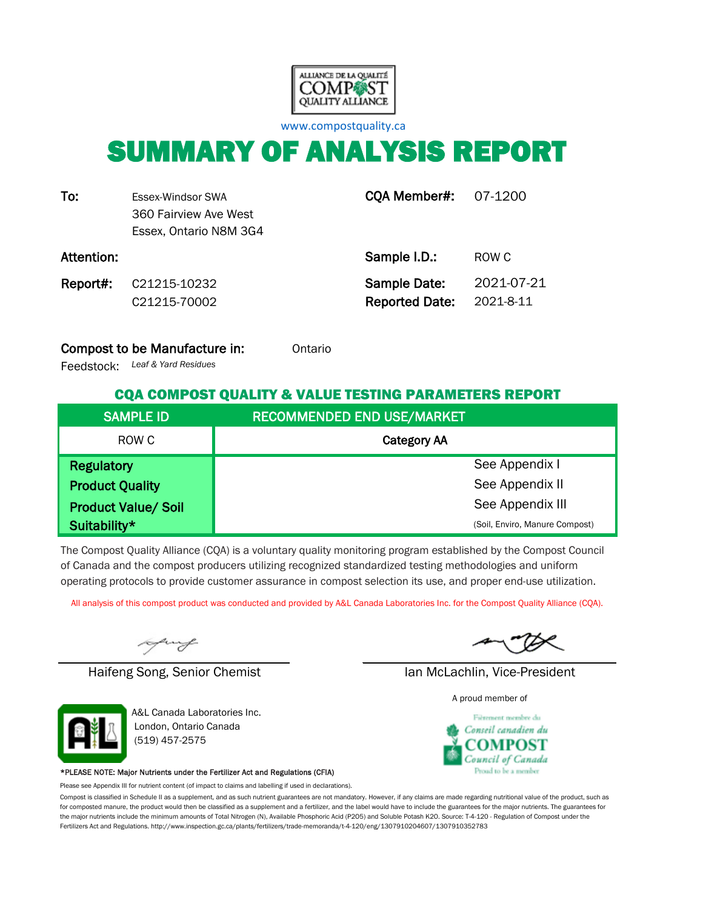

[w](http://www.compostquality.ca/)ww.compostquality.ca

# SUMMARY OF ANALYSIS REPORT

| To:        | Essex-Windsor SWA<br>360 Fairview Ave West<br>Essex, Ontario N8M 3G4 | <b>CQA Member#: 07-1200</b>           |                         |
|------------|----------------------------------------------------------------------|---------------------------------------|-------------------------|
| Attention: |                                                                      | Sample I.D.:                          | ROW C                   |
| Report#:   | C21215-10232<br>C21215-70002                                         | Sample Date:<br><b>Reported Date:</b> | 2021-07-21<br>2021-8-11 |

#### Compost to be Manufacture in: Ontario

*Leaf & Yard Residues* Feedstock:

### CQA COMPOST QUALITY & VALUE TESTING PARAMETERS REPORT

| <b>SAMPLE ID</b>           | <b>RECOMMENDED END USE/MARKET</b> |
|----------------------------|-----------------------------------|
| ROW C                      | <b>Category AA</b>                |
| <b>Regulatory</b>          | See Appendix I                    |
| <b>Product Quality</b>     | See Appendix II                   |
| <b>Product Value/ Soil</b> | See Appendix III                  |
| Suitability*               | (Soil, Enviro, Manure Compost)    |

The Compost Quality Alliance (CQA) is a voluntary quality monitoring program established by the Compost Council of Canada and the compost producers utilizing recognized standardized testing methodologies and uniform operating protocols to provide customer assurance in compost selection its use, and proper end-use utilization.

All analysis of this compost product was conducted and provided by A&L Canada Laboratories Inc. for the Compost Quality Alliance (CQA).

uy

Haifeng Song, Senior Chemist Ian McLachlin, Vice-President



A&L Canada Laboratories Inc. London, Ontario Canada (519) 457-2575

#### \*PLEASE NOTE: Major Nutrients under the Fertilizer Act and Regulations (CFIA)

Please see Appendix III for nutrient content (of impact to claims and labelling if used in declarations).

Compost is classified in Schedule II as a supplement, and as such nutrient guarantees are not mandatory. However, if any claims are made regarding nutritional value of the product, such as for composted manure, the product would then be classified as a supplement and a fertilizer, and the label would have to include the guarantees for the major nutrients. The guarantees for the major nutrients include the minimum amounts of Total Nitrogen (N), Available Phosphoric Acid (P2O5) and Soluble Potash K2O. Source: T-4-120 - Regulation of Compost under the Fertilizers Act and Regulations. http://www.inspection.gc.ca/plants/fertilizers/trade-memoranda/t-4-120/eng/1307910204607/1307910352783

A proud member of

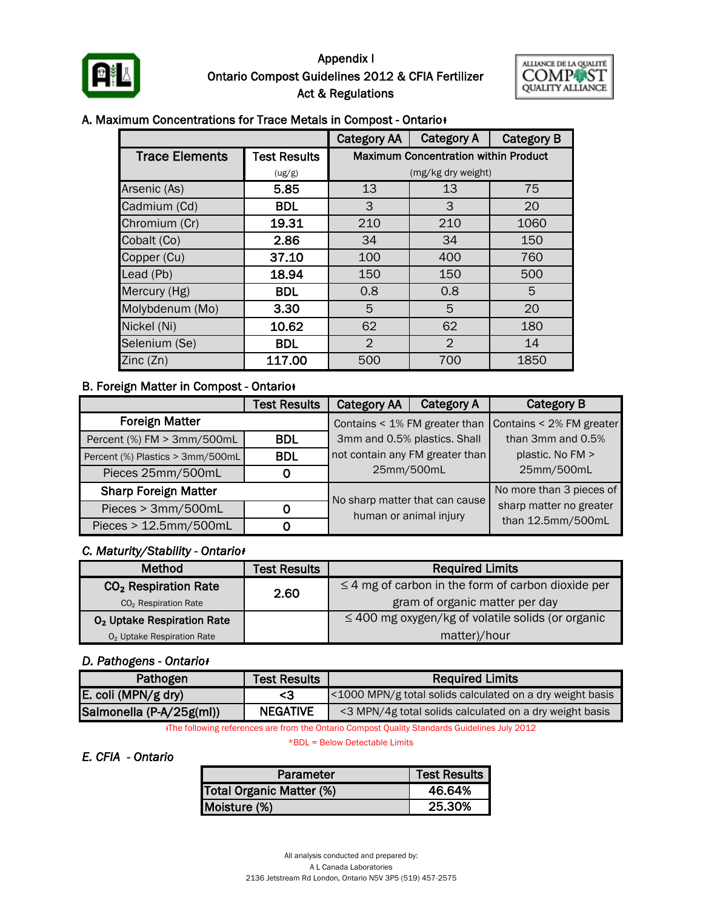

## Ontario Compost Guidelines 2012 & CFIA Fertilizer Act & Regulations Appendix I



#### A. Maximum Concentrations for Trace Metals in Compost - Ontario<sup>+</sup>

|                       |                     | <b>Category AA</b>                          | <b>Category A</b>  | <b>Category B</b> |  |  |  |
|-----------------------|---------------------|---------------------------------------------|--------------------|-------------------|--|--|--|
| <b>Trace Elements</b> | <b>Test Results</b> | <b>Maximum Concentration within Product</b> |                    |                   |  |  |  |
|                       | (ug/g)              |                                             | (mg/kg dry weight) |                   |  |  |  |
| Arsenic (As)          | 5.85                | 13                                          | 13                 | 75                |  |  |  |
| Cadmium (Cd)          | <b>BDL</b>          | 3                                           | 3                  | 20                |  |  |  |
| Chromium (Cr)         | 19.31               | 210                                         | 210                | 1060              |  |  |  |
| Cobalt (Co)           | 2.86                | 34                                          | 34                 | 150               |  |  |  |
| Copper (Cu)           | 37.10               | 100                                         | 400                | 760               |  |  |  |
| Lead (Pb)             | 18.94               | 150                                         | 150                | 500               |  |  |  |
| Mercury (Hg)          | <b>BDL</b>          | 0.8                                         | 0.8                | 5                 |  |  |  |
| Molybdenum (Mo)       | 3.30                | 5                                           | 5                  | 20                |  |  |  |
| Nickel (Ni)           | 10.62               | 62                                          | 62                 | 180               |  |  |  |
| Selenium (Se)         | <b>BDL</b>          | $\overline{2}$                              | $\overline{2}$     | 14                |  |  |  |
| Zinc(Zn)              | 117.00              | 500                                         | 700                | 1850              |  |  |  |

#### **B. Foreign Matter in Compost - Ontario**

|                                  | <b>Test Results</b>          | <b>Category AA</b>                                       | <b>Category A</b> | <b>Category B</b>        |  |
|----------------------------------|------------------------------|----------------------------------------------------------|-------------------|--------------------------|--|
| <b>Foreign Matter</b>            |                              | Contains < 1% FM greater than                            |                   | Contains < 2% FM greater |  |
| Percent (%) FM > 3mm/500mL       | 3mm and 0.5% plastics. Shall |                                                          | than 3mm and 0.5% |                          |  |
| Percent (%) Plastics > 3mm/500mL | <b>BDL</b>                   | not contain any FM greater than                          |                   | plastic. No FM >         |  |
| Pieces 25mm/500mL                | 0                            | 25mm/500mL                                               |                   | 25mm/500mL               |  |
| <b>Sharp Foreign Matter</b>      |                              |                                                          |                   | No more than 3 pieces of |  |
| Pieces > 3mm/500mL               | 0                            | No sharp matter that can cause<br>human or animal injury |                   | sharp matter no greater  |  |
| Pieces > 12.5mm/500mL            | 0                            |                                                          |                   | than 12.5mm/500mL        |  |

#### *C. Maturity/Stability - Ontarioᵻ*

| <b>Method</b>                          | <b>Test Results</b> | <b>Required Limits</b>                                  |  |  |  |  |
|----------------------------------------|---------------------|---------------------------------------------------------|--|--|--|--|
| CO <sub>2</sub> Respiration Rate       | 2.60                | $\leq$ 4 mg of carbon in the form of carbon dioxide per |  |  |  |  |
| CO <sub>2</sub> Respiration Rate       |                     | gram of organic matter per day                          |  |  |  |  |
| O <sub>2</sub> Uptake Respiration Rate |                     | $\leq$ 400 mg oxygen/kg of volatile solids (or organic  |  |  |  |  |
| O <sub>2</sub> Uptake Respiration Rate |                     | matter)/hour                                            |  |  |  |  |

#### *D. Pathogens - Ontarioᵻ*

| <b>Test Results</b><br>Pathogen |                 | <b>Required Limits</b>                                    |  |  |  |  |
|---------------------------------|-----------------|-----------------------------------------------------------|--|--|--|--|
| E. coli (MPN/g dry)             | - 3             | <1000 MPN/g total solids calculated on a dry weight basis |  |  |  |  |
| Salmonella (P-A/25g(ml))        | <b>NEGATIVE</b> | <3 MPN/4g total solids calculated on a dry weight basis   |  |  |  |  |

ᵻThe following references are from the Ontario Compost Quality Standards Guidelines July 2012

\*BDL = Below Detectable Limits

### *E. CFIA - Ontario*

| Parameter                | <b>Test Results  </b> |
|--------------------------|-----------------------|
| Total Organic Matter (%) | 46.64%                |
| Moisture (%)             | 25.30%                |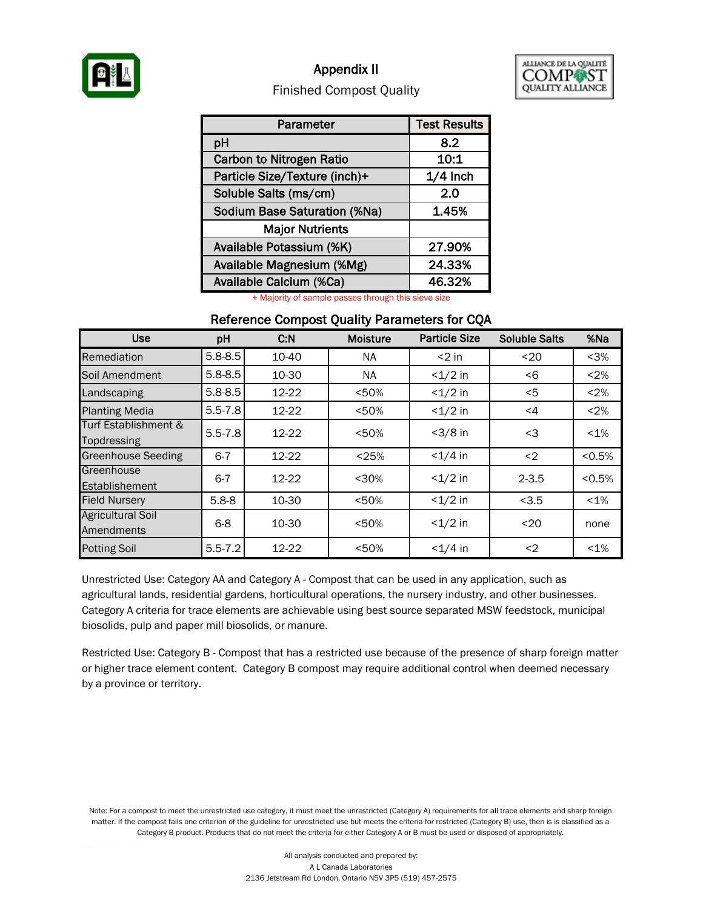

## Appendix II



### Finished Compost Quality

| Parameter                           | <b>Test Results</b> |
|-------------------------------------|---------------------|
| pH                                  | 8.2                 |
| <b>Carbon to Nitrogen Ratio</b>     | 10:1                |
| Particle Size/Texture (inch)+       | $1/4$ Inch          |
| Soluble Salts (ms/cm)               | 2.0                 |
| <b>Sodium Base Saturation (%Na)</b> | 1.45%               |
| <b>Major Nutrients</b>              |                     |
| Available Potassium (%K)            | 27.90%              |
| Available Magnesium (%Mg)           | 24.33%              |
| Available Calcium (%Ca)             | 46.32%              |

+ Majority of sample passes through this sieve size

#### Reference Compost Quality Parameters for CQA

| <b>Use</b>                             | pH          | C.N   | <b>Moisture</b> | <b>Particle Size</b> | <b>Soluble Salts</b> | %Na     |
|----------------------------------------|-------------|-------|-----------------|----------------------|----------------------|---------|
| Remediation                            | $5.8 - 8.5$ | 10-40 | NA.             | $<$ 2 in             | $20$                 | $3%$    |
| Soil Amendment                         | $5.8 - 8.5$ | 10-30 | <b>NA</b>       | $<1/2$ in            | < 6                  | < 2%    |
| Landscaping                            | $5.8 - 8.5$ | 12-22 | < 50%           | $<1/2$ in            | $<$ 5                | < 2%    |
| <b>Planting Media</b>                  | $5.5 - 7.8$ | 12-22 | < 50%           | $<1/2$ in            | $\leq 4$             | < 2%    |
| Turf Establishment &<br>Topdressing    | $5.5 - 7.8$ | 12-22 | < 50%           | $<3/8$ in            | <3                   | $< 1\%$ |
| <b>Greenhouse Seeding</b>              | $6 - 7$     | 12-22 | < 25%           | $< 1/4$ in           | $2$                  | < 0.5%  |
| Greenhouse<br>Establishement           | $6 - 7$     | 12-22 | $30%$           | $<1/2$ in            | $2 - 3.5$            | < 0.5%  |
| <b>Field Nursery</b>                   | $5.8 - 8$   | 10-30 | < 50%           | $<1/2$ in            | < 3.5                | $< 1\%$ |
| <b>Agricultural Soil</b><br>Amendments | $6 - 8$     | 10-30 | < 50%           | $<1/2$ in            | $20$                 | none    |
| <b>Potting Soil</b>                    | $5.5 - 7.2$ | 12-22 | < 50%           | $<1/4$ in            | $2$                  | $< 1\%$ |

Unrestricted Use: Category AA and Category A - Compost that can be used in any application, such as agricultural lands, residential gardens, horticultural operations, the nursery industry, and other businesses. Category A criteria for trace elements are achievable using best source separated MSW feedstock, municipal biosolids, pulp and paper mill biosolids, or manure.

Restricted Use: Category B - Compost that has a restricted use because of the presence of sharp foreign matter or higher trace element content. Category B compost may require additional control when deemed necessary by a province or territory.

Note: For a compost to meet the unrestricted use category, it must meet the unrestricted (Category A) requirements for all trace elements and sharp foreign matter. If the compost fails one criterion of the guideline for unrestricted use but meets the criteria for restricted (Category B) use, then is is classified as a Category B product. Products that do not meet the criteria for either Category A or B must be used or disposed of appropriately.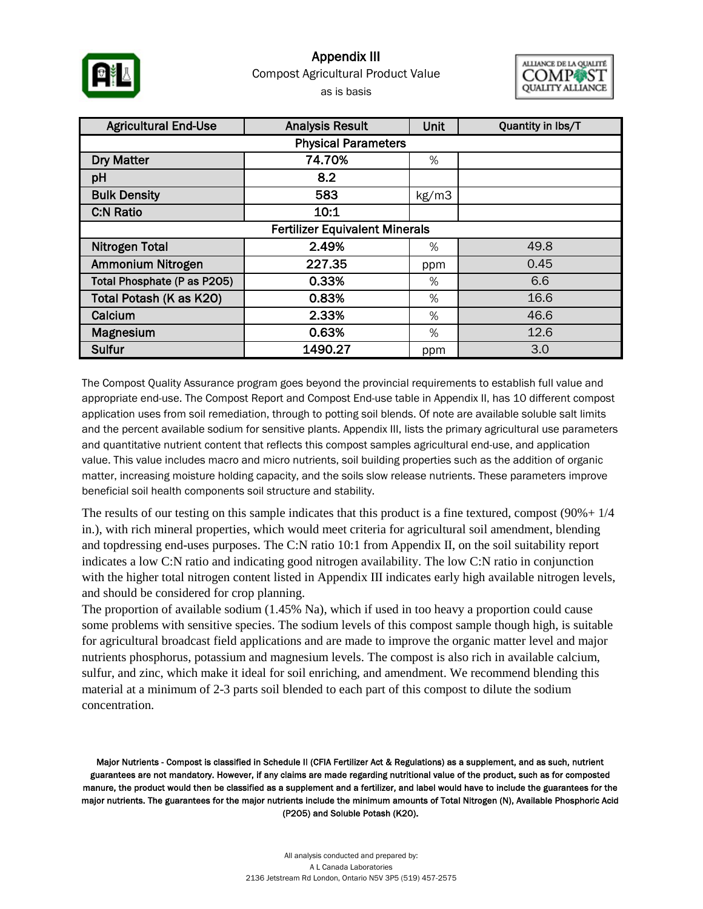

## Compost Agricultural Product Value as is basis Appendix III



| <b>Agricultural End-Use</b>           | <b>Analysis Result</b> | Unit  | Quantity in lbs/T |  |  |  |  |  |  |
|---------------------------------------|------------------------|-------|-------------------|--|--|--|--|--|--|
| <b>Physical Parameters</b>            |                        |       |                   |  |  |  |  |  |  |
| <b>Dry Matter</b>                     | 74.70%                 | %     |                   |  |  |  |  |  |  |
| pH                                    | 8.2                    |       |                   |  |  |  |  |  |  |
| <b>Bulk Density</b>                   | 583                    | kg/m3 |                   |  |  |  |  |  |  |
| <b>C:N Ratio</b>                      | 10:1                   |       |                   |  |  |  |  |  |  |
| <b>Fertilizer Equivalent Minerals</b> |                        |       |                   |  |  |  |  |  |  |
| <b>Nitrogen Total</b>                 | 2.49%                  | $\%$  | 49.8              |  |  |  |  |  |  |
| Ammonium Nitrogen                     | 227.35                 | ppm   | 0.45              |  |  |  |  |  |  |
| Total Phosphate (P as P205)           | 0.33%                  | %     | 6.6               |  |  |  |  |  |  |
| Total Potash (K as K20)               | 0.83%                  | %     | 16.6              |  |  |  |  |  |  |
| Calcium                               | 2.33%                  | %     | 46.6              |  |  |  |  |  |  |
| Magnesium                             | 0.63%                  | %     | 12.6              |  |  |  |  |  |  |
| <b>Sulfur</b>                         | 1490.27                | ppm   | 3.0               |  |  |  |  |  |  |

The Compost Quality Assurance program goes beyond the provincial requirements to establish full value and appropriate end-use. The Compost Report and Compost End-use table in Appendix II, has 10 different compost application uses from soil remediation, through to potting soil blends. Of note are available soluble salt limits and the percent available sodium for sensitive plants. Appendix III, lists the primary agricultural use parameters and quantitative nutrient content that reflects this compost samples agricultural end-use, and application value. This value includes macro and micro nutrients, soil building properties such as the addition of organic matter, increasing moisture holding capacity, and the soils slow release nutrients. These parameters improve beneficial soil health components soil structure and stability.

The results of our testing on this sample indicates that this product is a fine textured, compost (90%+ 1/4 in.), with rich mineral properties, which would meet criteria for agricultural soil amendment, blending and topdressing end-uses purposes. The C:N ratio 10:1 from Appendix II, on the soil suitability report indicates a low C:N ratio and indicating good nitrogen availability. The low C:N ratio in conjunction with the higher total nitrogen content listed in Appendix III indicates early high available nitrogen levels, and should be considered for crop planning.

The proportion of available sodium (1.45% Na), which if used in too heavy a proportion could cause some problems with sensitive species. The sodium levels of this compost sample though high, is suitable for agricultural broadcast field applications and are made to improve the organic matter level and major nutrients phosphorus, potassium and magnesium levels. The compost is also rich in available calcium, sulfur, and zinc, which make it ideal for soil enriching, and amendment. We recommend blending this material at a minimum of 2-3 parts soil blended to each part of this compost to dilute the sodium concentration.

Major Nutrients - Compost is classified in Schedule II (CFIA Fertilizer Act & Regulations) as a supplement, and as such, nutrient guarantees are not mandatory. However, if any claims are made regarding nutritional value of the product, such as for composted manure, the product would then be classified as a supplement and a fertilizer, and label would have to include the guarantees for the major nutrients. The guarantees for the major nutrients include the minimum amounts of Total Nitrogen (N), Available Phosphoric Acid (P2O5) and Soluble Potash (K2O).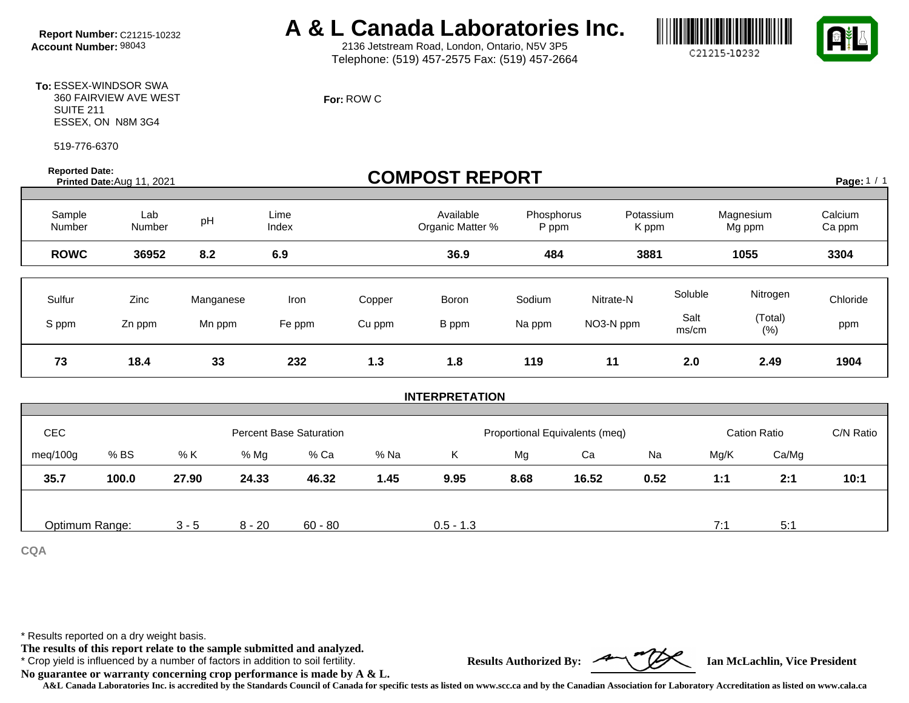# **Report Number:** C21215-10232 **A & L Canada Laboratories Inc.**<br>Account Number: 98043 **A & L** 2136 Jetstream Road, London, Ontario, N5V 3P5

2136 Jetstream Road, London, Ontario, N5V 3P5 Telephone: (519) 457-2575 Fax: (519) 457-2664

**For:** ROW C

C21215-10232



**To:** ESSEX-WINDSOR SWA 360 FAIRVIEW AVE WEST SUITE 211 ESSEX, ON N8M 3G4

519-776-6370

**Reported Date:** 

## **Prorted Date:**  $\bullet$  **Printed Date: Printed Date: Printed Date: COMPOST REPORT**

Page:  $1 / 1$ 

| Sample<br>Number | Lab<br>Number  | pH                  | Lime<br>Index  |                  | Available<br>Organic Matter % | Phosphorus<br>P ppm | Potassium<br>K ppm     |                          | Magnesium<br>Mg ppm         | Calcium<br>Ca ppm |
|------------------|----------------|---------------------|----------------|------------------|-------------------------------|---------------------|------------------------|--------------------------|-----------------------------|-------------------|
| <b>ROWC</b>      | 36952          | 8.2                 | 6.9            |                  | 36.9                          | 484                 | 3881                   |                          | 1055                        | 3304              |
| Sulfur<br>S ppm  | Zinc<br>Zn ppm | Manganese<br>Mn ppm | Iron<br>Fe ppm | Copper<br>Cu ppm | Boron<br>B ppm                | Sodium<br>Na ppm    | Nitrate-N<br>NO3-N ppm | Soluble<br>Salt<br>ms/cm | Nitrogen<br>(Total)<br>(% ) | Chloride<br>ppm   |
| 73               | 18.4           | 33                  | 232            | 1.3              | 1.8                           | 119                 | 11                     | 2.0                      | 2.49                        | 1904              |

#### **INTERPRETATION**

| <b>CEC</b>     |       | <b>Percent Base Saturation</b> |          |           |      | Proportional Equivalents (meq) |      |       |      | <b>Cation Ratio</b> |       | C/N Ratio |
|----------------|-------|--------------------------------|----------|-----------|------|--------------------------------|------|-------|------|---------------------|-------|-----------|
| meg/100g       | % BS  | % K                            | % Mg     | % Ca      | % Na | Κ                              | Mg   | Ca    | Na   | Mg/K                | Ca/Mg |           |
| 35.7           | 100.0 | 27.90                          | 24.33    | 46.32     | 1.45 | 9.95                           | 8.68 | 16.52 | 0.52 | 1:1                 | 2:1   | 10:1      |
|                |       |                                |          |           |      |                                |      |       |      |                     |       |           |
| Optimum Range: |       | $3 - 5$                        | $8 - 20$ | $60 - 80$ |      | $0.5 - 1.3$                    |      |       |      | 7:                  | 5:1   |           |

**CQA**

\* Results reported on a dry weight basis.

**The results of this report relate to the sample submitted and analyzed.** 

\* Crop yield is influenced by a number of factors in addition to soil fertility. **Results Authorized By: Ian McLachlin, Vice President**

**No guarantee or warranty concerning crop performance is made by A & L.**

**A&L Canada Laboratories Inc. is accredited by the Standards Council of Canada for specific tests as listed on www.scc.ca and by the Canadian Association for Laboratory Accreditation as listed on www.cala.ca**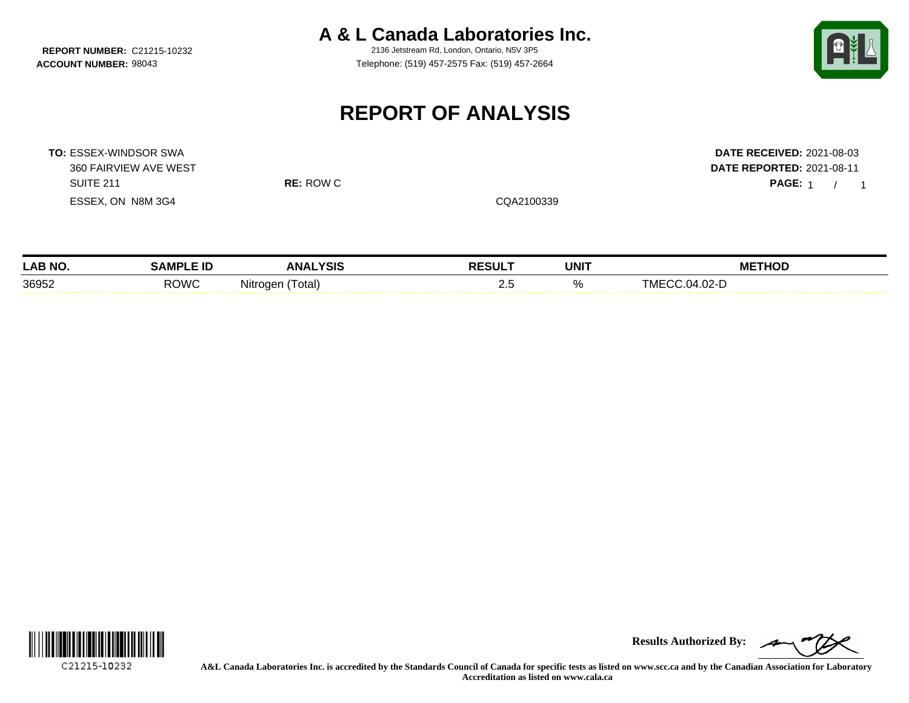**REPORT NUMBER: C21215-10232** 

**A & L Canada Laboratories Inc.**<br>2136 Jetstream Rd. London, Ontario, N5V 3P5

**ACCOUNT NUMBER:** 98043 Telephone: (519) 457-2575 Fax: (519) 457-2664



PAGE: 1 / 1

# **REPORT OF ANALYSIS**

**TO:** ESSEX-WINDSOR SWA **DATE RECEIVED:** 2021-08-03 360 FAIRVIEW AVE WEST **DATE REPORTED:** 2021-08-11 SUITE 211 **RE:** ROW C **PAGE:** 1 / ESSEX, ON N8M 3G4 CQA2100339

| <b>LAB NO.</b> | .<br>-IL    | <b>YSIS</b><br>ANA    | <b>RESULT</b> | <b>UNIT</b> | <b>THOD</b><br>.<br>ME |
|----------------|-------------|-----------------------|---------------|-------------|------------------------|
| 36952          | <b>ROWC</b> | Nitr<br>otal)<br>חב∩ר | ـ             |             | ባ2-.<br>' 1/1          |



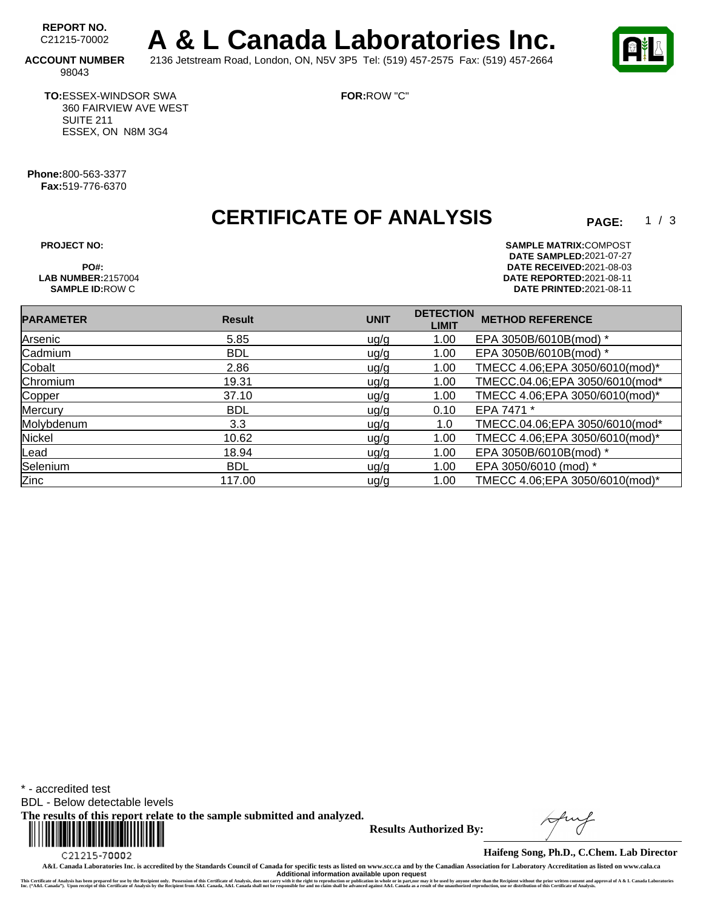REPORT NO.<br>C21215-70002 A & L Canada Laboratories Inc. **ACCOUNT NUMBER** 2136 Jetstream Road, London, ON, N5V 3P5 Tel: (519) 457-2575 Fax: (519) 457-2664

**FOR:**ROW "C"

98043

**TO:**ESSEX-WINDSOR SWA 360 FAIRVIEW AVE WEST SUITE 211 ESSEX, ON N8M 3G4

**Phone:**800-563-3377 **Fax:**519-776-6370

# **CERTIFICATE OF ANALYSIS**

 $1/3$ 

**PROJECT NO: SAMPLE MATRIX:** COMPOST **DATE SAMPLED:** 2021-07-27 **PO#: DATE RECEIVED:**2021-08-03 **LAB NUMBER:**2157004 **DATE REPORTED:**2021-08-11 **DATE PRINTED:**2021-08-11

| <b>PARAMETER</b> | <b>Result</b> | <b>UNIT</b> | <b>DETECTION</b><br><b>LIMIT</b> | <b>METHOD REFERENCE</b>         |
|------------------|---------------|-------------|----------------------------------|---------------------------------|
| Arsenic          | 5.85          | ug/g        | 1.00                             | EPA 3050B/6010B(mod) *          |
| Cadmium          | <b>BDL</b>    | uq/q        | 1.00                             | EPA 3050B/6010B(mod) *          |
| Cobalt           | 2.86          | uq/q        | 1.00                             | TMECC 4.06;EPA 3050/6010(mod)*  |
| Chromium         | 19.31         | ug/g        | 1.00                             | TMECC.04.06;EPA 3050/6010(mod*  |
| Copper           | 37.10         | uq/q        | 1.00                             | TMECC 4.06; EPA 3050/6010(mod)* |
| Mercury          | <b>BDL</b>    | ug/g        | 0.10                             | EPA 7471 *                      |
| Molybdenum       | 3.3           | u g/g       | 1.0                              | TMECC.04.06;EPA 3050/6010(mod*  |
| Nickel           | 10.62         | ug/g        | 1.00                             | TMECC 4.06; EPA 3050/6010(mod)* |
| Lead             | 18.94         | uq/q        | 1.00                             | EPA 3050B/6010B(mod) *          |
| Selenium         | <b>BDL</b>    | uq/q        | 1.00                             | EPA 3050/6010 (mod) *           |
| Zinc             | 117.00        | uq/q        | 1.00                             | TMECC 4.06;EPA 3050/6010(mod)*  |

\* - accredited test

BDL - Below detectable levels

**The results of this report relate to the sample submitted and analyzed.** 



**Results Authorized By:**

**Haifeng Song, Ph.D., C.Chem. Lab Director**

**A&L Canada Laboratories Inc. is accredited by the Standards Council of Canada for specific tests as listed on www.scc.ca and by the Canadian Association for Laboratory Accreditation as listed on www.cala.ca** Additional information available upon request<br>This Certificate of Analysis has been prepared for use by the Recipient only. Possession of this Certificate of Analysis, does not carry with the right to reproduction or publi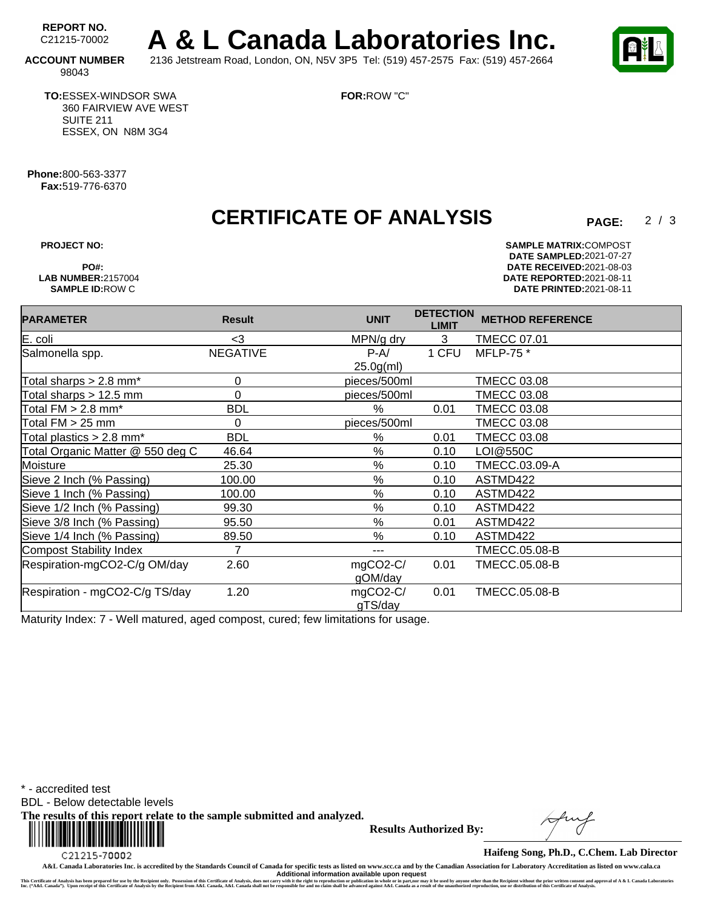REPORT NO.<br>C21215-70002 A & L Canada Laboratories Inc. **ACCOUNT NUMBER** 2136 Jetstream Road, London, ON, N5V 3P5 Tel: (519) 457-2575 Fax: (519) 457-2664

 $2/3$ 

98043

**TO:**ESSEX-WINDSOR SWA 360 FAIRVIEW AVE WEST SUITE 211 ESSEX, ON N8M 3G4

**FOR:**ROW "C"

**Phone:**800-563-3377 **Fax:**519-776-6370

# **CERTIFICATE OF ANALYSIS**

**PROJECT NO: SAMPLE MATRIX:** COMPOST **DATE SAMPLED:** 2021-07-27 **PO#: DATE RECEIVED:**2021-08-03 **LAB NUMBER:**2157004 **DATE REPORTED:**2021-08-11 **SAMPLE ID:**ROW C **DATE PRINTED:**2021-08-11

| <b>PARAMETER</b>                     | <b>Result</b>   | <b>UNIT</b>            | <b>DETECTION</b><br><b>LIMIT</b> | <b>METHOD REFERENCE</b> |
|--------------------------------------|-----------------|------------------------|----------------------------------|-------------------------|
| E. coli                              | $3$             | MPN/g dry              | 3                                | <b>TMECC 07.01</b>      |
| Salmonella spp.                      | <b>NEGATIVE</b> | $P-A/$                 | 1 CFU                            | MFLP-75 *               |
|                                      |                 | 25.0 <sub>g</sub> (ml) |                                  |                         |
| Total sharps $> 2.8$ mm <sup>*</sup> | 0               | pieces/500ml           |                                  | TMECC 03.08             |
| Total sharps > 12.5 mm               | $\Omega$        | pieces/500ml           |                                  | <b>TMECC 03.08</b>      |
| Total $FM > 2.8$ mm*                 | <b>BDL</b>      | $\%$                   | 0.01                             | <b>TMECC 03.08</b>      |
| Total $FM > 25$ mm                   | 0               | pieces/500ml           |                                  | <b>TMECC 03.08</b>      |
| Total plastics > 2.8 mm*             | <b>BDL</b>      | %                      | 0.01                             | <b>TMECC 03.08</b>      |
| Total Organic Matter @ 550 deg C     | 46.64           | %                      | 0.10                             | LOI@550C                |
| Moisture                             | 25.30           | $\%$                   | 0.10                             | TMECC.03.09-A           |
| Sieve 2 Inch (% Passing)             | 100.00          | %                      | 0.10                             | ASTMD422                |
| Sieve 1 Inch (% Passing)             | 100.00          | $\%$                   | 0.10                             | ASTMD422                |
| Sieve 1/2 Inch (% Passing)           | 99.30           | %                      | 0.10                             | ASTMD422                |
| Sieve 3/8 Inch (% Passing)           | 95.50           | $\%$                   | 0.01                             | ASTMD422                |
| Sieve 1/4 Inch (% Passing)           | 89.50           | $\%$                   | 0.10                             | ASTMD422                |
| Compost Stability Index              | 7               | ---                    |                                  | TMECC.05.08-B           |
| Respiration-mgCO2-C/g OM/day         | 2.60            | mgCO2-C/               | 0.01                             | <b>TMECC.05.08-B</b>    |
|                                      |                 | gOM/day                |                                  |                         |
| Respiration - mgCO2-C/g TS/day       | 1.20            | mgCO2-C/               | 0.01                             | <b>TMECC.05.08-B</b>    |
|                                      |                 | gTS/day                |                                  |                         |

Maturity Index: 7 - Well matured, aged compost, cured; few limitations for usage.

\* - accredited test

BDL - Below detectable levels

**The results of this report relate to the sample submitted and analyzed.** 



**Results Authorized By:**

**Haifeng Song, Ph.D., C.Chem. Lab Director**

**A&L Canada Laboratories Inc. is accredited by the Standards Council of Canada for specific tests as listed on www.scc.ca and by the Canadian Association for Laboratory Accreditation as listed on www.cala.ca** Additional information available upon request<br>This Certificate of Analysis has been prepared for use by the Recipient only. Possession of this Certificate of Analysis, does not carry with the right to reproduction or publi